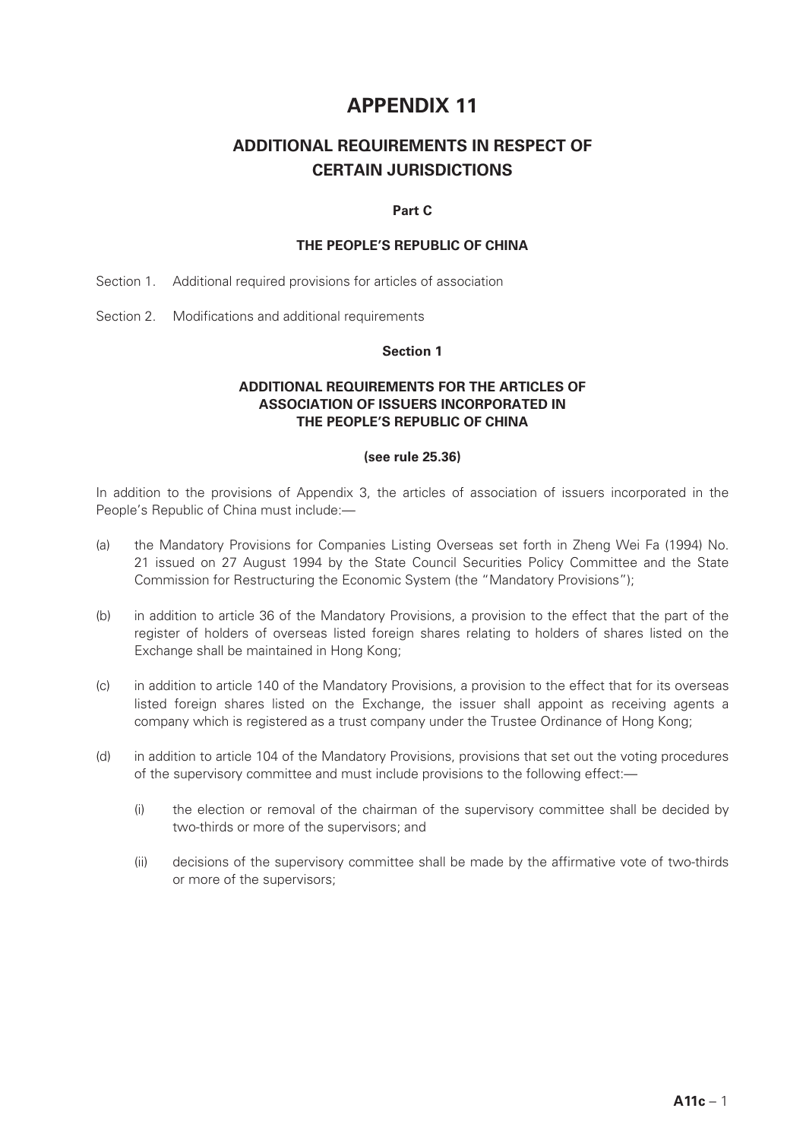# **APPENDIX 11**

# **ADDITIONAL REQUIREMENTS IN RESPECT OF CERTAIN JURISDICTIONS**

# **Part C**

# **THE PEOPLE'S REPUBLIC OF CHINA**

- Section 1. Additional required provisions for articles of association
- Section 2. Modifications and additional requirements

#### **Section 1**

# **ADDITIONAL REQUIREMENTS FOR THE ARTICLES OF ASSOCIATION OF ISSUERS INCORPORATED IN THE PEOPLE'S REPUBLIC OF CHINA**

#### **(see rule 25.36)**

In addition to the provisions of Appendix 3, the articles of association of issuers incorporated in the People's Republic of China must include:—

- (a) the Mandatory Provisions for Companies Listing Overseas set forth in Zheng Wei Fa (1994) No. 21 issued on 27 August 1994 by the State Council Securities Policy Committee and the State Commission for Restructuring the Economic System (the "Mandatory Provisions");
- (b) in addition to article 36 of the Mandatory Provisions, a provision to the effect that the part of the register of holders of overseas listed foreign shares relating to holders of shares listed on the Exchange shall be maintained in Hong Kong;
- (c) in addition to article 140 of the Mandatory Provisions, a provision to the effect that for its overseas listed foreign shares listed on the Exchange, the issuer shall appoint as receiving agents a company which is registered as a trust company under the Trustee Ordinance of Hong Kong;
- (d) in addition to article 104 of the Mandatory Provisions, provisions that set out the voting procedures of the supervisory committee and must include provisions to the following effect:—
	- (i) the election or removal of the chairman of the supervisory committee shall be decided by two-thirds or more of the supervisors; and
	- (ii) decisions of the supervisory committee shall be made by the affirmative vote of two-thirds or more of the supervisors;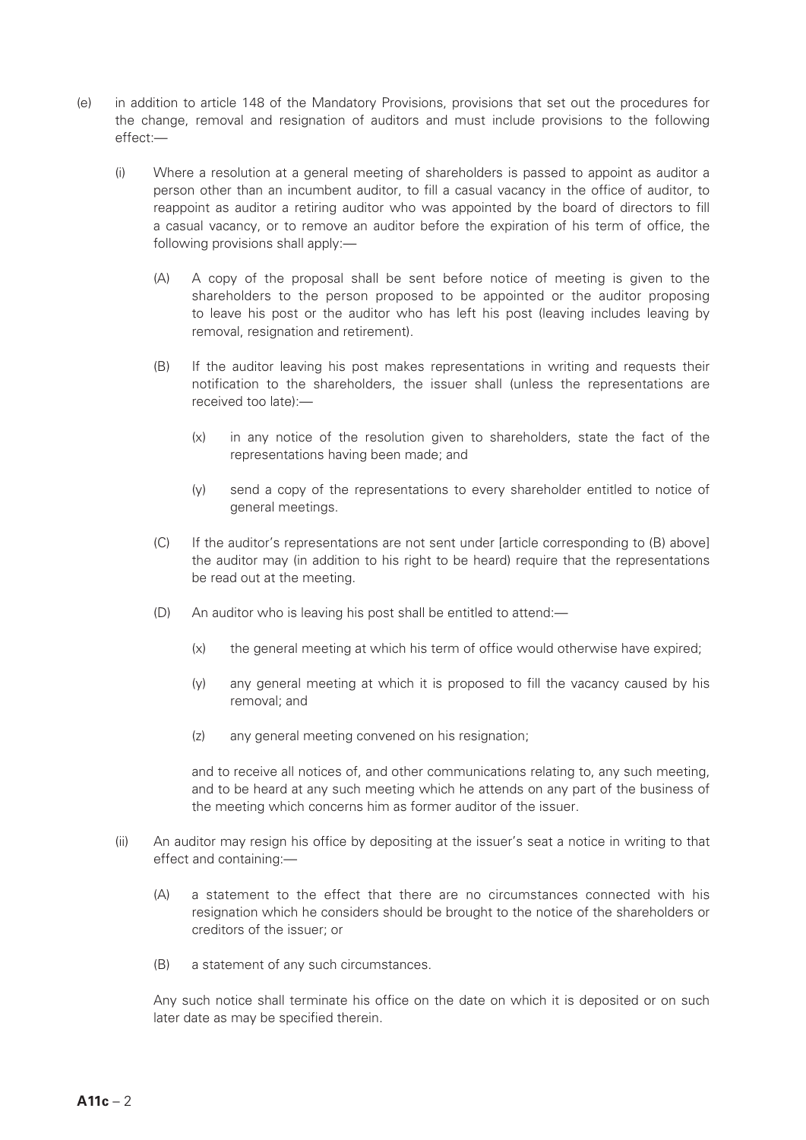- (e) in addition to article 148 of the Mandatory Provisions, provisions that set out the procedures for the change, removal and resignation of auditors and must include provisions to the following effect:—
	- (i) Where a resolution at a general meeting of shareholders is passed to appoint as auditor a person other than an incumbent auditor, to fill a casual vacancy in the office of auditor, to reappoint as auditor a retiring auditor who was appointed by the board of directors to fill a casual vacancy, or to remove an auditor before the expiration of his term of office, the following provisions shall apply:—
		- (A) A copy of the proposal shall be sent before notice of meeting is given to the shareholders to the person proposed to be appointed or the auditor proposing to leave his post or the auditor who has left his post (leaving includes leaving by removal, resignation and retirement).
		- (B) If the auditor leaving his post makes representations in writing and requests their notification to the shareholders, the issuer shall (unless the representations are received too late):—
			- (x) in any notice of the resolution given to shareholders, state the fact of the representations having been made; and
			- (y) send a copy of the representations to every shareholder entitled to notice of general meetings.
		- (C) If the auditor's representations are not sent under [article corresponding to (B) above] the auditor may (in addition to his right to be heard) require that the representations be read out at the meeting.
		- (D) An auditor who is leaving his post shall be entitled to attend:—
			- (x) the general meeting at which his term of office would otherwise have expired;
			- (y) any general meeting at which it is proposed to fill the vacancy caused by his removal; and
			- (z) any general meeting convened on his resignation;

and to receive all notices of, and other communications relating to, any such meeting, and to be heard at any such meeting which he attends on any part of the business of the meeting which concerns him as former auditor of the issuer.

- (ii) An auditor may resign his office by depositing at the issuer's seat a notice in writing to that effect and containing:—
	- (A) a statement to the effect that there are no circumstances connected with his resignation which he considers should be brought to the notice of the shareholders or creditors of the issuer; or
	- (B) a statement of any such circumstances.

Any such notice shall terminate his office on the date on which it is deposited or on such later date as may be specified therein.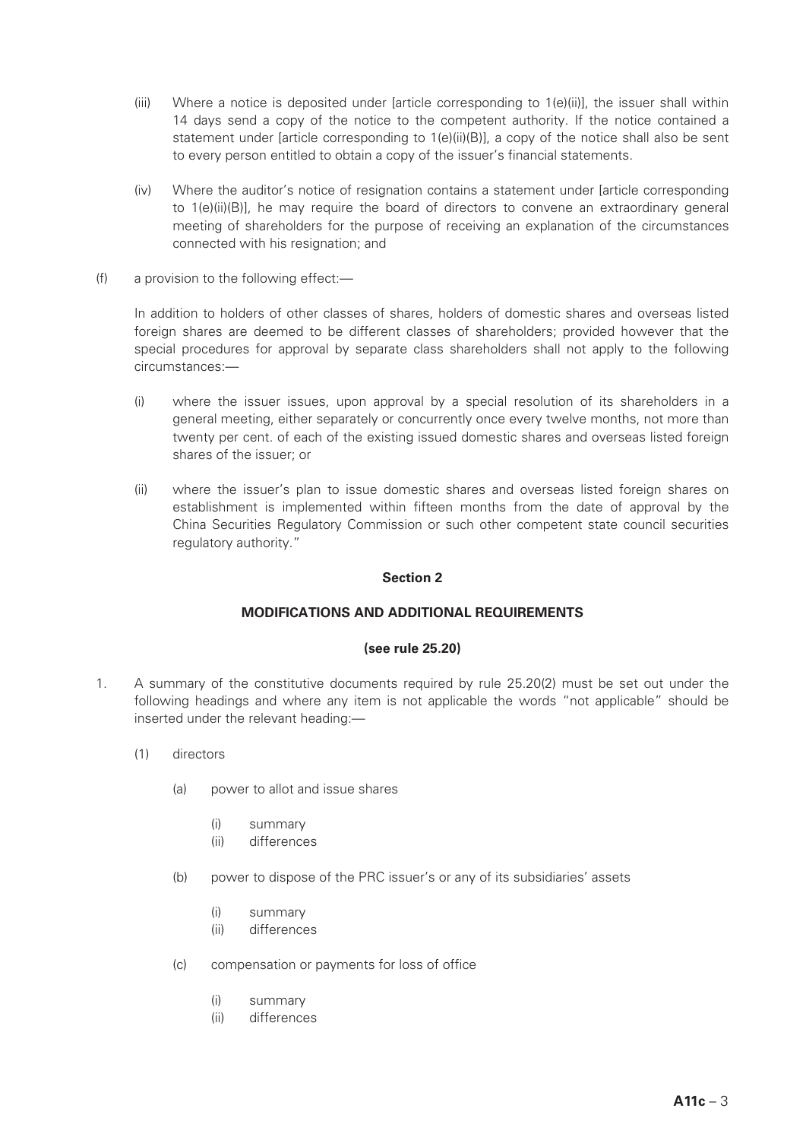- (iii) Where a notice is deposited under [article corresponding to 1(e)(ii)], the issuer shall within 14 days send a copy of the notice to the competent authority. If the notice contained a statement under [article corresponding to 1(e)(ii)(B)], a copy of the notice shall also be sent to every person entitled to obtain a copy of the issuer's financial statements.
- (iv) Where the auditor's notice of resignation contains a statement under [article corresponding to 1(e)(ii)(B)], he may require the board of directors to convene an extraordinary general meeting of shareholders for the purpose of receiving an explanation of the circumstances connected with his resignation; and
- (f) a provision to the following effect:—

In addition to holders of other classes of shares, holders of domestic shares and overseas listed foreign shares are deemed to be different classes of shareholders; provided however that the special procedures for approval by separate class shareholders shall not apply to the following circumstances:—

- (i) where the issuer issues, upon approval by a special resolution of its shareholders in a general meeting, either separately or concurrently once every twelve months, not more than twenty per cent. of each of the existing issued domestic shares and overseas listed foreign shares of the issuer; or
- (ii) where the issuer's plan to issue domestic shares and overseas listed foreign shares on establishment is implemented within fifteen months from the date of approval by the China Securities Regulatory Commission or such other competent state council securities regulatory authority."

# **Section 2**

# **MODIFICATIONS AND ADDITIONAL REQUIREMENTS**

# **(see rule 25.20)**

- 1. A summary of the constitutive documents required by rule 25.20(2) must be set out under the following headings and where any item is not applicable the words "not applicable" should be inserted under the relevant heading:—
	- (1) directors
		- (a) power to allot and issue shares
			- (i) summary
			- (ii) differences
		- (b) power to dispose of the PRC issuer's or any of its subsidiaries' assets
			- (i) summary
			- (ii) differences
		- (c) compensation or payments for loss of office
			- (i) summary
			- (ii) differences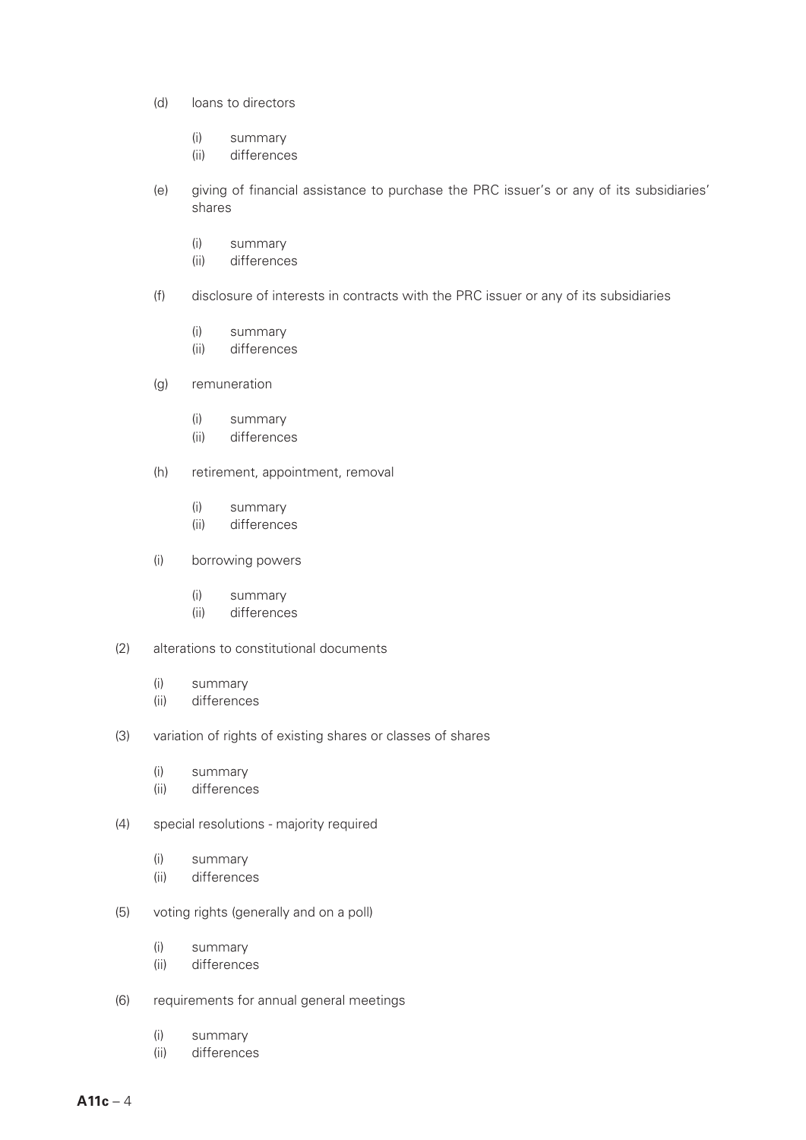- (d) loans to directors
	- (i) summary
	- (ii) differences
- (e) giving of financial assistance to purchase the PRC issuer's or any of its subsidiaries' shares
	- (i) summary
	- (ii) differences
- (f) disclosure of interests in contracts with the PRC issuer or any of its subsidiaries
	- (i) summary
	- (ii) differences
- (g) remuneration
	- (i) summary
	- (ii) differences
- (h) retirement, appointment, removal
	- (i) summary
	- (ii) differences
- (i) borrowing powers
	- (i) summary
	- (ii) differences
- (2) alterations to constitutional documents
	- (i) summary
	- (ii) differences
- (3) variation of rights of existing shares or classes of shares
	- (i) summary
	- (ii) differences
- (4) special resolutions majority required
	- (i) summary
	- (ii) differences
- (5) voting rights (generally and on a poll)
	- (i) summary
	- (ii) differences
- (6) requirements for annual general meetings
	- (i) summary
	- (ii) differences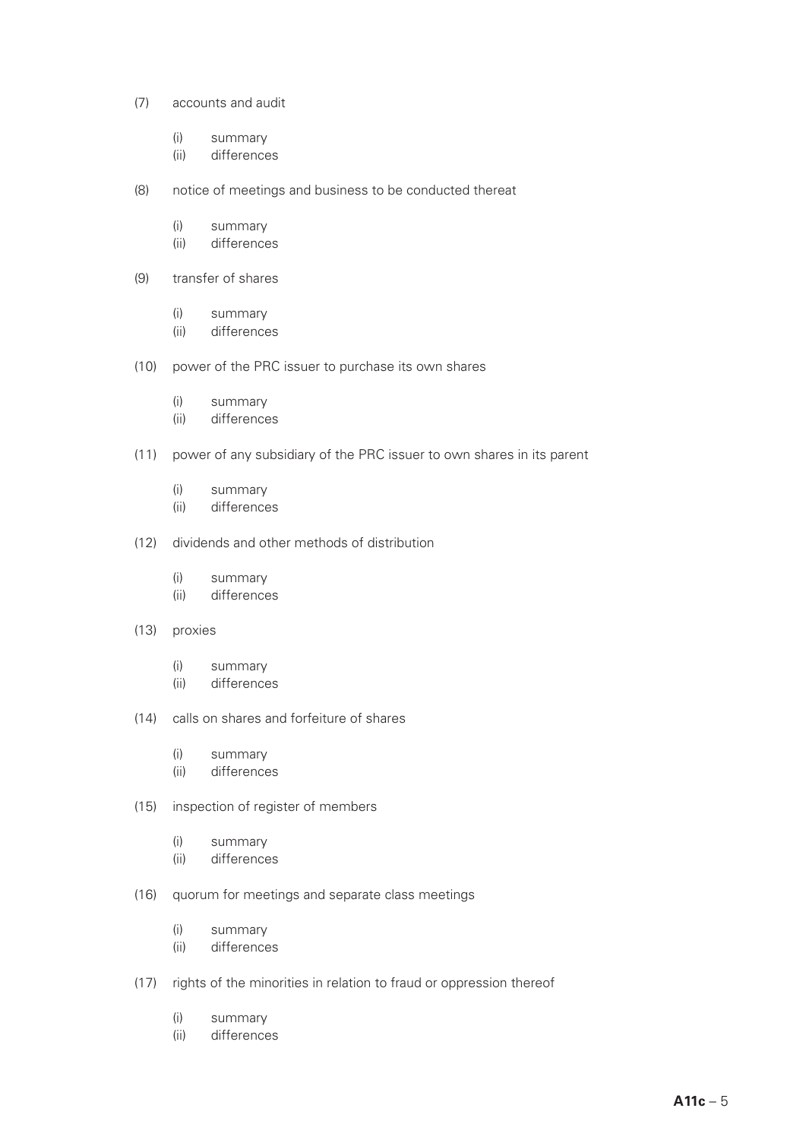- (7) accounts and audit
	- (i) summary
	- (ii) differences
- (8) notice of meetings and business to be conducted thereat
	- (i) summary
	- (ii) differences
- (9) transfer of shares
	- (i) summary
	- (ii) differences
- (10) power of the PRC issuer to purchase its own shares
	- (i) summary
	- (ii) differences
- (11) power of any subsidiary of the PRC issuer to own shares in its parent
	- (i) summary
	- (ii) differences
- (12) dividends and other methods of distribution
	- (i) summary
	- (ii) differences
- (13) proxies
	- (i) summary
	- (ii) differences
- (14) calls on shares and forfeiture of shares
	- (i) summary
	- (ii) differences
- (15) inspection of register of members
	- (i) summary
	- (ii) differences
- (16) quorum for meetings and separate class meetings
	- (i) summary
	- (ii) differences
- (17) rights of the minorities in relation to fraud or oppression thereof
	- (i) summary
	- (ii) differences